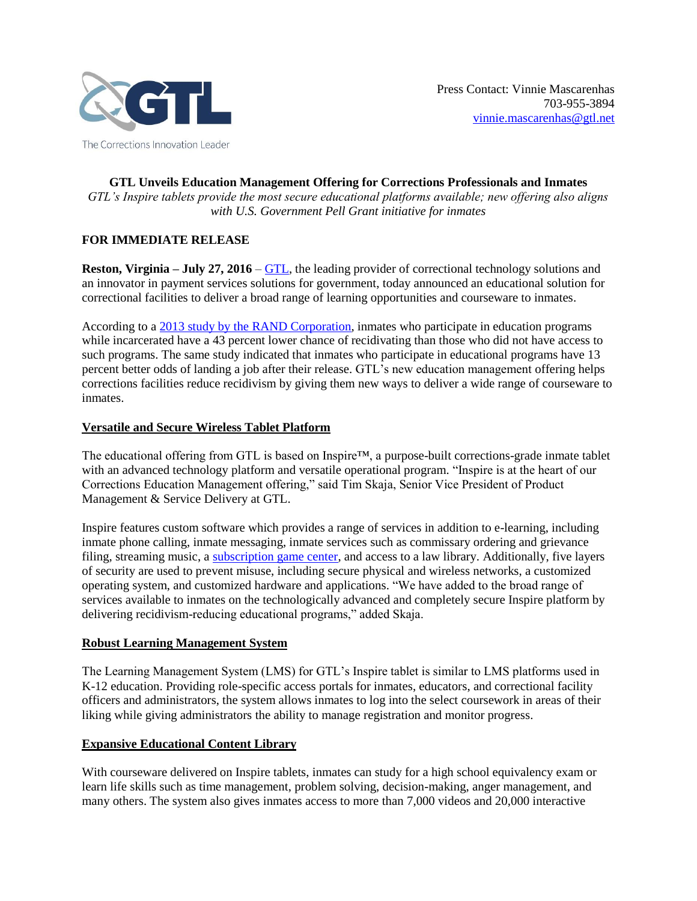

**GTL Unveils Education Management Offering for Corrections Professionals and Inmates** *GTL's Inspire tablets provide the most secure educational platforms available; new offering also aligns with U.S. Government Pell Grant initiative for inmates*

# **FOR IMMEDIATE RELEASE**

**Reston, Virginia – July 27, 2016 – [GTL,](http://www.gtl.net/) the leading provider of correctional technology solutions and** an innovator in payment services solutions for government, today announced an educational solution for correctional facilities to deliver a broad range of learning opportunities and courseware to inmates.

According to a [2013 study by the RAND Corporation,](http://www.rand.org/pubs/research_reports/RR266.html) inmates who participate in education programs while incarcerated have a 43 percent lower chance of recidivating than those who did not have access to such programs. The same study indicated that inmates who participate in educational programs have 13 percent better odds of landing a job after their release. GTL's new education management offering helps corrections facilities reduce recidivism by giving them new ways to deliver a wide range of courseware to inmates.

# **Versatile and Secure Wireless Tablet Platform**

The educational offering from GTL is based on Inspire™, a purpose-built corrections-grade inmate tablet with an advanced technology platform and versatile operational program. "Inspire is at the heart of our Corrections Education Management offering," said Tim Skaja, Senior Vice President of Product Management & Service Delivery at GTL.

Inspire features custom software which provides a range of services in addition to e-learning, including inmate phone calling, inmate messaging, inmate services such as commissary ordering and grievance filing, streaming music, a [subscription game center,](http://www.gtl.net/gtl-launches-game-center-subscription-service-on-tablets-in-correctional-facilities/) and access to a law library. Additionally, five layers of security are used to prevent misuse, including secure physical and wireless networks, a customized operating system, and customized hardware and applications. "We have added to the broad range of services available to inmates on the technologically advanced and completely secure Inspire platform by delivering recidivism-reducing educational programs," added Skaja.

# **Robust Learning Management System**

The Learning Management System (LMS) for GTL's Inspire tablet is similar to LMS platforms used in K-12 education. Providing role-specific access portals for inmates, educators, and correctional facility officers and administrators, the system allows inmates to log into the select coursework in areas of their liking while giving administrators the ability to manage registration and monitor progress.

# **Expansive Educational Content Library**

With courseware delivered on Inspire tablets, inmates can study for a high school equivalency exam or learn life skills such as time management, problem solving, decision-making, anger management, and many others. The system also gives inmates access to more than 7,000 videos and 20,000 interactive